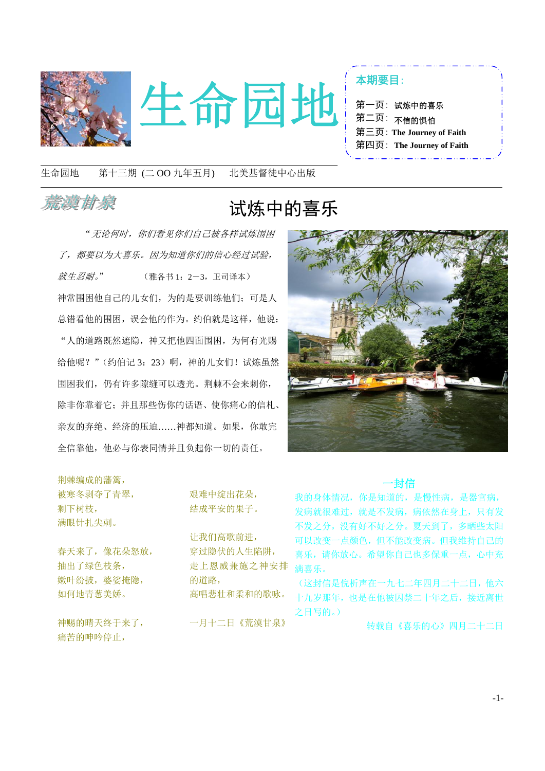



| 第一页: 试炼中的喜乐               |  |
|---------------------------|--|
| 第二页: <sub>不信的惧怕</sub>     |  |
| 第三页: The Journey of Faith |  |
| 第四页: The Journey of Faith |  |

生命园地 第十三期 (二 OO 九年五月) 北美基督徒中心出版

1

### 恭漢甘泉

## 试炼中的喜乐

"无论何时,你们看见你们自己被各样试炼围困 了,都要以为大喜乐。因为知道你们的信心经过试验, 就生忍耐。" (雅各书 1:2-3,卫司译本) 神常围困他自己的儿女们,为的是要训练他们;可是人 总错看他的围困,误会他的作为。约伯就是这样,他说: "人的道路既然遮隐,神又把他四面围困,为何有光赐 给他呢?"(约伯记 3:23)啊,神的儿女们!试炼虽然 围困我们,仍有许多隙缝可以透光。荆棘不会来刺你, 除非你靠着它;并且那些伤你的话语、使你痛心的信札、 亲友的弃绝、经济的压迫……神都知道。如果,你敢完 全信靠他,他必与你表同情并且负起你一切的责任。

荆棘编成的藩篱, 被寒冬剥夺了青翠,

剩下树枝, 满眼针扎尖刺。

春天来了,像花朵怒放, 抽出了绿色枝条, 嫩叶纷披,婆娑掩隐, 如何地青葱美娇。

神赐的晴天终于来了, 痛苦的呻吟停止,

艰难中绽出花朵, 结成平安的果子。

让我们高歌前进, 穿过隐伏的人生陷阱, 走上恩威兼施之神安排 的道路, 高唱悲壮和柔和的歌咏。

一月十二日《荒漠甘泉》



#### 一封信

我的身体情况,你是知道的,是慢性病,是器官病, 发病就很难过,就是不发病,病依然在身上,只有发 不发之分,没有好不好之分。夏天到了,多晒些太阳 可以改变一点颜色,但不能改变病。但我维持自己的 喜乐,请你放心。希望你自己也多保重一点,心中充 满喜乐。

(这封信是倪析声在一九七二年四月二十二日,他六 十九岁那年,也是在他被囚禁二十年之后,接近离世 之日写的。)

转载自《喜乐的心》四月二十二日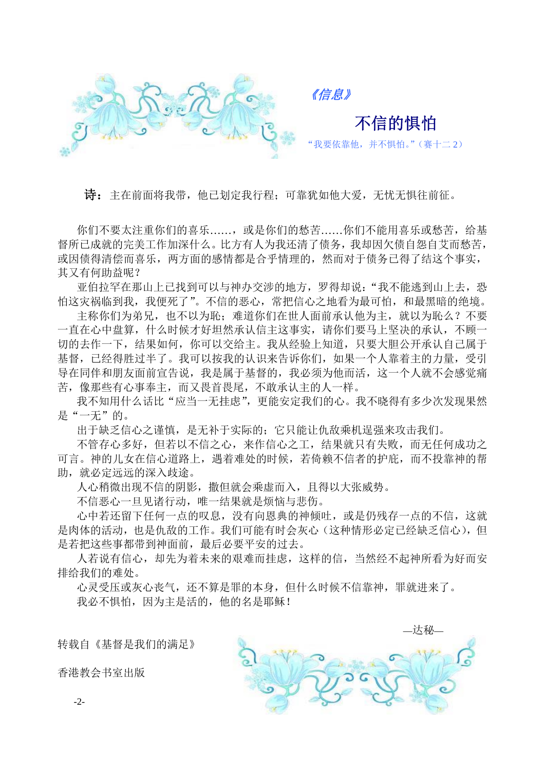

《信息》

"我要依靠他,并不惧怕。"(赛十二 2)

不信的惧怕

诗:主在前面将我带,他已划定我行程;可靠犹如他大爱,无忧无惧往前征。

你们不要太注重你们的喜乐……,或是你们的愁苦……你们不能用喜乐或愁苦,给基 督所已成就的完美工作加深什么。比方有人为我还清了债务,我却因欠债自怨自艾而愁苦, 或因债得清偿而喜乐,两方面的感情都是合乎情理的,然而对于债务已得了结这个事实, 其又有何助益呢?

亚伯拉罕在那山上已找到可以与神办交涉的地方,罗得却说:"我不能逃到山上去,恐 怕这灾祸临到我,我便死了"。不信的恶心,常把信心之地看为最可怕,和最黑暗的绝境。

主称你们为弟兄,也不以为恥;难道你们在世人面前承认他为主,就以为恥么?不要 一直在心中盘算,什么时候才好坦然承认信主这事实,请你们要马上坚决的承认,不顾一 切的去作一下,结果如何,你可以交给主。我从经验上知道,只要大胆公开承认自己属于 基督,已经得胜过半了。我可以按我的认识来告诉你们,如果一个人靠着主的力量,受引 导在同伴和朋友面前宣告说,我是属于基督的,我必须为他而活,这一个人就不会感觉痛 苦,像那些有心事奉主,而又畏首畏尾,不敢承认主的人一样。

我不知用什么话比"应当一无挂虑",更能安定我们的心。我不晓得有多少次发现果然 是"一无"的。

出于缺乏信心之谨慎,是无补于实际的;它只能让仇敌乘机逞强来攻击我们。

不管存心多好,但若以不信之心,来作信心之工,结果就只有失败,而无任何成功之 可言。神的儿女在信心道路上,遇着难处的时候,若倚赖不信者的护庇,而不投靠神的帮 助, 就必定远远的深入歧途。

人心稍微出现不信的阴影,撒但就会乘虚而入,且得以大张威势。

不信恶心一旦见诸行动,唯一结果就是烦恼与悲伤。

心中若还留下任何一点的叹息,没有向恩典的神倾吐,或是仍残存一点的不信,这就 是肉体的活动,也是仇敌的工作。我们可能有时会灰心(这种情形必定已经缺乏信心),但 是若把这些事都带到神面前,最后必要平安的过去。

人若说有信心,却先为着未来的艰难而挂虑,这样的信,当然经不起神所看为好而安 排给我们的难处。

心灵受压或灰心丧气,还不算是罪的本身,但什么时候不信靠神,罪就进来了。 我必不惧怕,因为主是活的,他的名是耶稣!

转载自《基督是我们的满足》

香港教会书室出版



-2-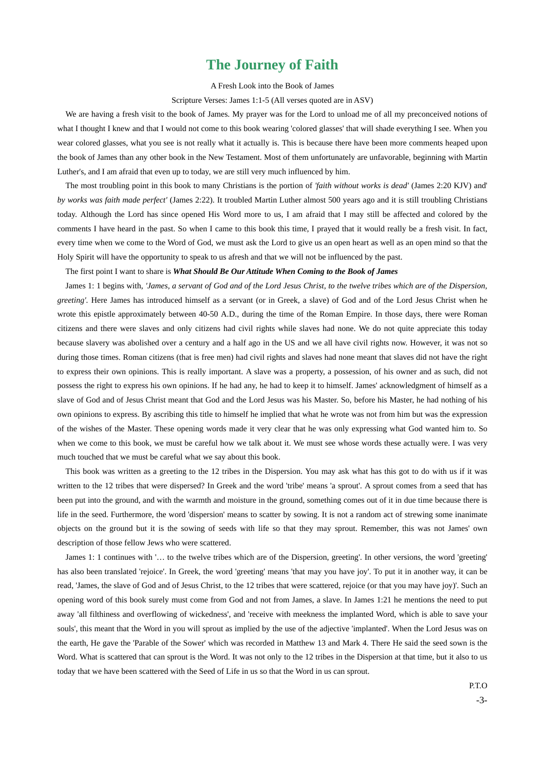#### **The Journey of Faith**

A Fresh Look into the Book of James

Scripture Verses: James 1:1-5 (All verses quoted are in ASV)

We are having a fresh visit to the book of James. My prayer was for the Lord to unload me of all my preconceived notions of what I thought I knew and that I would not come to this book wearing 'colored glasses' that will shade everything I see. When you wear colored glasses, what you see is not really what it actually is. This is because there have been more comments heaped upon the book of James than any other book in the New Testament. Most of them unfortunately are unfavorable, beginning with Martin Luther's, and I am afraid that even up to today, we are still very much influenced by him.

The most troubling point in this book to many Christians is the portion of *'faith without works is dead'* (James 2:20 KJV) and' *by works was faith made perfect'* (James 2:22). It troubled Martin Luther almost 500 years ago and it is still troubling Christians today. Although the Lord has since opened His Word more to us, I am afraid that I may still be affected and colored by the comments I have heard in the past. So when I came to this book this time, I prayed that it would really be a fresh visit. In fact, every time when we come to the Word of God, we must ask the Lord to give us an open heart as well as an open mind so that the Holy Spirit will have the opportunity to speak to us afresh and that we will not be influenced by the past.

The first point I want to share is *What Should Be Our Attitude When Coming to the Book of James*

James 1: 1 begins with, *'James, a servant of God and of the Lord Jesus Christ, to the twelve tribes which are of the Dispersion, greeting'.* Here James has introduced himself as a servant (or in Greek, a slave) of God and of the Lord Jesus Christ when he wrote this epistle approximately between 40-50 A.D., during the time of the Roman Empire. In those days, there were Roman citizens and there were slaves and only citizens had civil rights while slaves had none. We do not quite appreciate this today because slavery was abolished over a century and a half ago in the US and we all have civil rights now. However, it was not so during those times. Roman citizens (that is free men) had civil rights and slaves had none meant that slaves did not have the right to express their own opinions. This is really important. A slave was a property, a possession, of his owner and as such, did not possess the right to express his own opinions. If he had any, he had to keep it to himself. James' acknowledgment of himself as a slave of God and of Jesus Christ meant that God and the Lord Jesus was his Master. So, before his Master, he had nothing of his own opinions to express. By ascribing this title to himself he implied that what he wrote was not from him but was the expression of the wishes of the Master. These opening words made it very clear that he was only expressing what God wanted him to. So when we come to this book, we must be careful how we talk about it. We must see whose words these actually were. I was very much touched that we must be careful what we say about this book.

This book was written as a greeting to the 12 tribes in the Dispersion. You may ask what has this got to do with us if it was written to the 12 tribes that were dispersed? In Greek and the word 'tribe' means 'a sprout'. A sprout comes from a seed that has been put into the ground, and with the warmth and moisture in the ground, something comes out of it in due time because there is life in the seed. Furthermore, the word 'dispersion' means to scatter by sowing. It is not a random act of strewing some inanimate objects on the ground but it is the sowing of seeds with life so that they may sprout. Remember, this was not James' own description of those fellow Jews who were scattered.

James 1: 1 continues with '… to the twelve tribes which are of the Dispersion, greeting'. In other versions, the word 'greeting' has also been translated 'rejoice'. In Greek, the word 'greeting' means 'that may you have joy'. To put it in another way, it can be read, 'James, the slave of God and of Jesus Christ, to the 12 tribes that were scattered, rejoice (or that you may have joy)'. Such an opening word of this book surely must come from God and not from James, a slave. In James 1:21 he mentions the need to put away 'all filthiness and overflowing of wickedness', and 'receive with meekness the implanted Word, which is able to save your souls', this meant that the Word in you will sprout as implied by the use of the adjective 'implanted'. When the Lord Jesus was on the earth, He gave the 'Parable of the Sower' which was recorded in Matthew 13 and Mark 4. There He said the seed sown is the Word. What is scattered that can sprout is the Word. It was not only to the 12 tribes in the Dispersion at that time, but it also to us today that we have been scattered with the Seed of Life in us so that the Word in us can sprout.

> P.T.O -3-